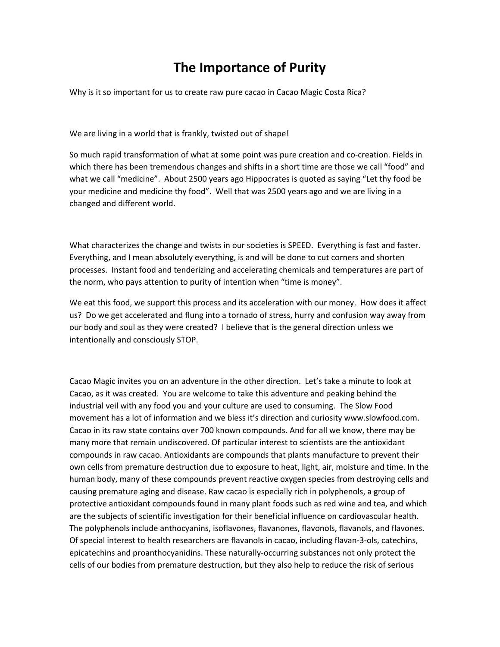## **The Importance of Purity**

Why is it so important for us to create raw pure cacao in Cacao Magic Costa Rica?

We are living in a world that is frankly, twisted out of shape!

So much rapid transformation of what at some point was pure creation and co-creation. Fields in which there has been tremendous changes and shifts in a short time are those we call "food" and what we call "medicine". About 2500 years ago Hippocrates is quoted as saying "Let thy food be your medicine and medicine thy food". Well that was 2500 years ago and we are living in a changed and different world.

What characterizes the change and twists in our societies is SPEED. Everything is fast and faster. Everything, and I mean absolutely everything, is and will be done to cut corners and shorten processes. Instant food and tenderizing and accelerating chemicals and temperatures are part of the norm, who pays attention to purity of intention when "time is money".

We eat this food, we support this process and its acceleration with our money. How does it affect us? Do we get accelerated and flung into a tornado of stress, hurry and confusion way away from our body and soul as they were created? I believe that is the general direction unless we intentionally and consciously STOP.

Cacao Magic invites you on an adventure in the other direction. Let's take a minute to look at Cacao, as it was created. You are welcome to take this adventure and peaking behind the industrial veil with any food you and your culture are used to consuming. The Slow Food movement has a lot of information and we bless it's direction and curiosity www.slowfood.com. Cacao in its raw state contains over 700 known compounds. And for all we know, there may be many more that remain undiscovered. Of particular interest to scientists are the antioxidant compounds in raw cacao. Antioxidants are compounds that plants manufacture to prevent their own cells from premature destruction due to exposure to heat, light, air, moisture and time. In the human body, many of these compounds prevent reactive oxygen species from destroying cells and causing premature aging and disease. Raw cacao is especially rich in polyphenols, a group of protective antioxidant compounds found in many plant foods such as red wine and tea, and which are the subjects of scientific investigation for their beneficial influence on cardiovascular health. The polyphenols include anthocyanins, isoflavones, flavanones, flavonols, flavanols, and flavones. Of special interest to health researchers are flavanols in cacao, including flavan-3-ols, catechins, epicatechins and proanthocyanidins. These naturally-occurring substances not only protect the cells of our bodies from premature destruction, but they also help to reduce the risk of serious